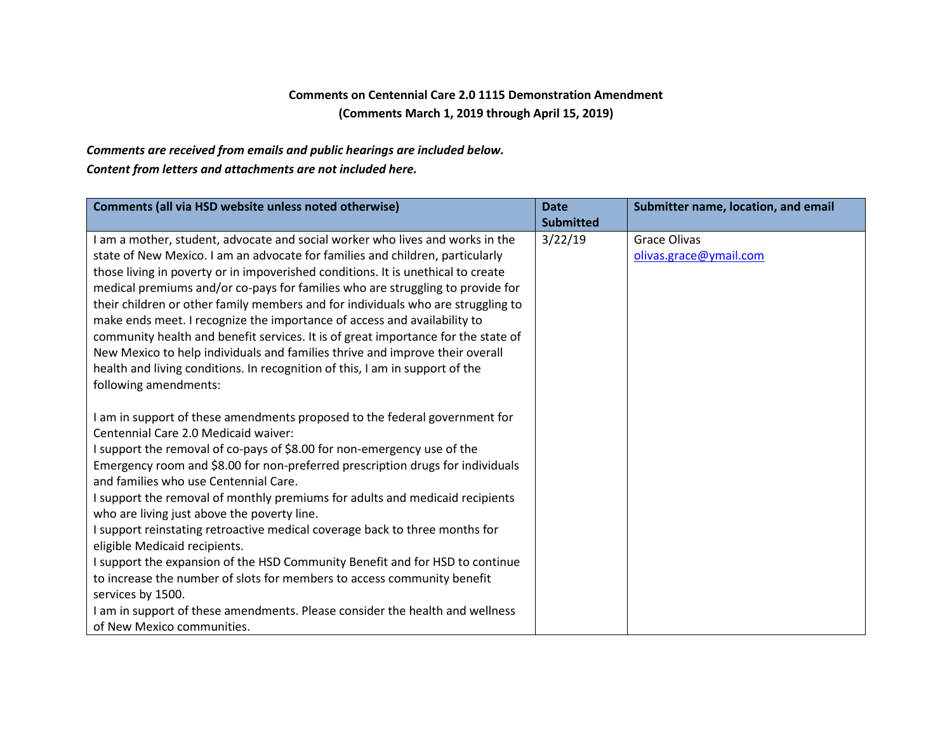## **Comments on Centennial Care 2.0 1115 Demonstration Amendment (Comments March 1, 2019 through April 15, 2019)**

## *Comments are received from emails and public hearings are included below.*

## *Content from letters and attachments are not included here.*

| Comments (all via HSD website unless noted otherwise)                                                                   | <b>Date</b><br><b>Submitted</b> | Submitter name, location, and email |
|-------------------------------------------------------------------------------------------------------------------------|---------------------------------|-------------------------------------|
| I am a mother, student, advocate and social worker who lives and works in the                                           | 3/22/19                         | <b>Grace Olivas</b>                 |
| state of New Mexico. I am an advocate for families and children, particularly                                           |                                 | olivas.grace@ymail.com              |
| those living in poverty or in impoverished conditions. It is unethical to create                                        |                                 |                                     |
| medical premiums and/or co-pays for families who are struggling to provide for                                          |                                 |                                     |
| their children or other family members and for individuals who are struggling to                                        |                                 |                                     |
| make ends meet. I recognize the importance of access and availability to                                                |                                 |                                     |
| community health and benefit services. It is of great importance for the state of                                       |                                 |                                     |
| New Mexico to help individuals and families thrive and improve their overall                                            |                                 |                                     |
| health and living conditions. In recognition of this, I am in support of the                                            |                                 |                                     |
| following amendments:                                                                                                   |                                 |                                     |
|                                                                                                                         |                                 |                                     |
| I am in support of these amendments proposed to the federal government for                                              |                                 |                                     |
| Centennial Care 2.0 Medicaid waiver:                                                                                    |                                 |                                     |
| I support the removal of co-pays of \$8.00 for non-emergency use of the                                                 |                                 |                                     |
| Emergency room and \$8.00 for non-preferred prescription drugs for individuals<br>and families who use Centennial Care. |                                 |                                     |
| I support the removal of monthly premiums for adults and medicaid recipients                                            |                                 |                                     |
| who are living just above the poverty line.                                                                             |                                 |                                     |
| I support reinstating retroactive medical coverage back to three months for                                             |                                 |                                     |
| eligible Medicaid recipients.                                                                                           |                                 |                                     |
| I support the expansion of the HSD Community Benefit and for HSD to continue                                            |                                 |                                     |
| to increase the number of slots for members to access community benefit                                                 |                                 |                                     |
| services by 1500.                                                                                                       |                                 |                                     |
| I am in support of these amendments. Please consider the health and wellness                                            |                                 |                                     |
| of New Mexico communities.                                                                                              |                                 |                                     |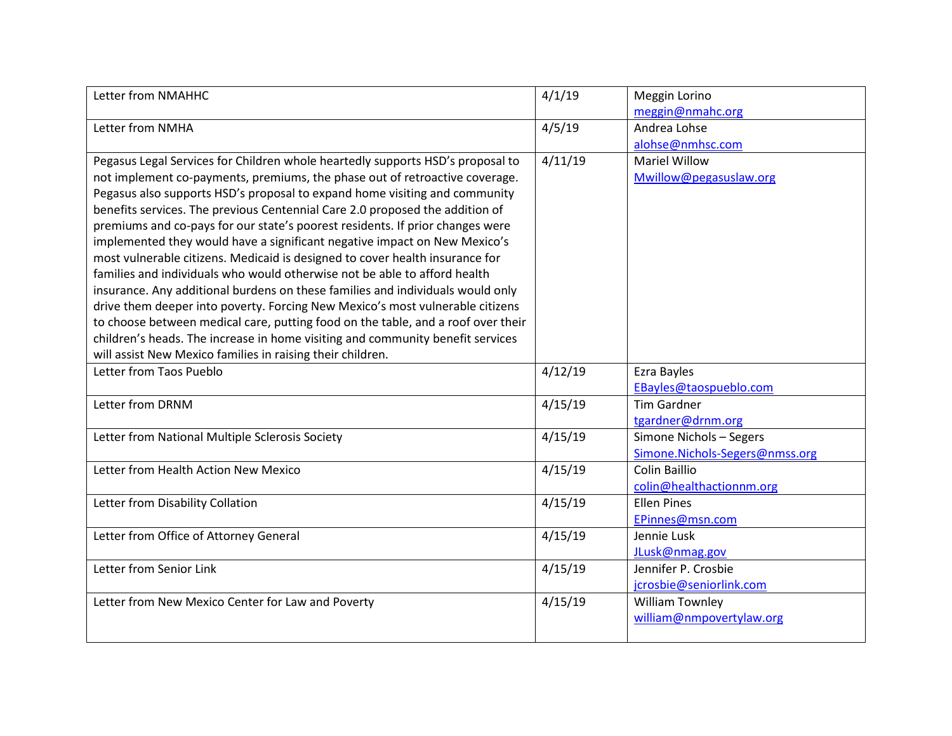| Letter from NMAHHC                                                               | 4/1/19  | Meggin Lorino                  |
|----------------------------------------------------------------------------------|---------|--------------------------------|
|                                                                                  |         | meggin@nmahc.org               |
| Letter from NMHA                                                                 | 4/5/19  | Andrea Lohse                   |
|                                                                                  |         | alohse@nmhsc.com               |
| Pegasus Legal Services for Children whole heartedly supports HSD's proposal to   | 4/11/19 | <b>Mariel Willow</b>           |
| not implement co-payments, premiums, the phase out of retroactive coverage.      |         | Mwillow@pegasuslaw.org         |
| Pegasus also supports HSD's proposal to expand home visiting and community       |         |                                |
| benefits services. The previous Centennial Care 2.0 proposed the addition of     |         |                                |
| premiums and co-pays for our state's poorest residents. If prior changes were    |         |                                |
| implemented they would have a significant negative impact on New Mexico's        |         |                                |
| most vulnerable citizens. Medicaid is designed to cover health insurance for     |         |                                |
| families and individuals who would otherwise not be able to afford health        |         |                                |
| insurance. Any additional burdens on these families and individuals would only   |         |                                |
| drive them deeper into poverty. Forcing New Mexico's most vulnerable citizens    |         |                                |
| to choose between medical care, putting food on the table, and a roof over their |         |                                |
| children's heads. The increase in home visiting and community benefit services   |         |                                |
| will assist New Mexico families in raising their children.                       |         |                                |
| Letter from Taos Pueblo                                                          | 4/12/19 | Ezra Bayles                    |
|                                                                                  |         | EBayles@taospueblo.com         |
|                                                                                  |         |                                |
| Letter from DRNM                                                                 | 4/15/19 | <b>Tim Gardner</b>             |
|                                                                                  |         | tgardner@drnm.org              |
| Letter from National Multiple Sclerosis Society                                  | 4/15/19 | Simone Nichols - Segers        |
|                                                                                  |         | Simone.Nichols-Segers@nmss.org |
| Letter from Health Action New Mexico                                             | 4/15/19 | Colin Baillio                  |
|                                                                                  |         | colin@healthactionnm.org       |
| Letter from Disability Collation                                                 | 4/15/19 | <b>Ellen Pines</b>             |
|                                                                                  |         | EPinnes@msn.com                |
| Letter from Office of Attorney General                                           | 4/15/19 | Jennie Lusk                    |
|                                                                                  |         | JLusk@nmag.gov                 |
| Letter from Senior Link                                                          | 4/15/19 | Jennifer P. Crosbie            |
|                                                                                  |         | jcrosbie@seniorlink.com        |
| Letter from New Mexico Center for Law and Poverty                                | 4/15/19 | William Townley                |
|                                                                                  |         | william@nmpovertylaw.org       |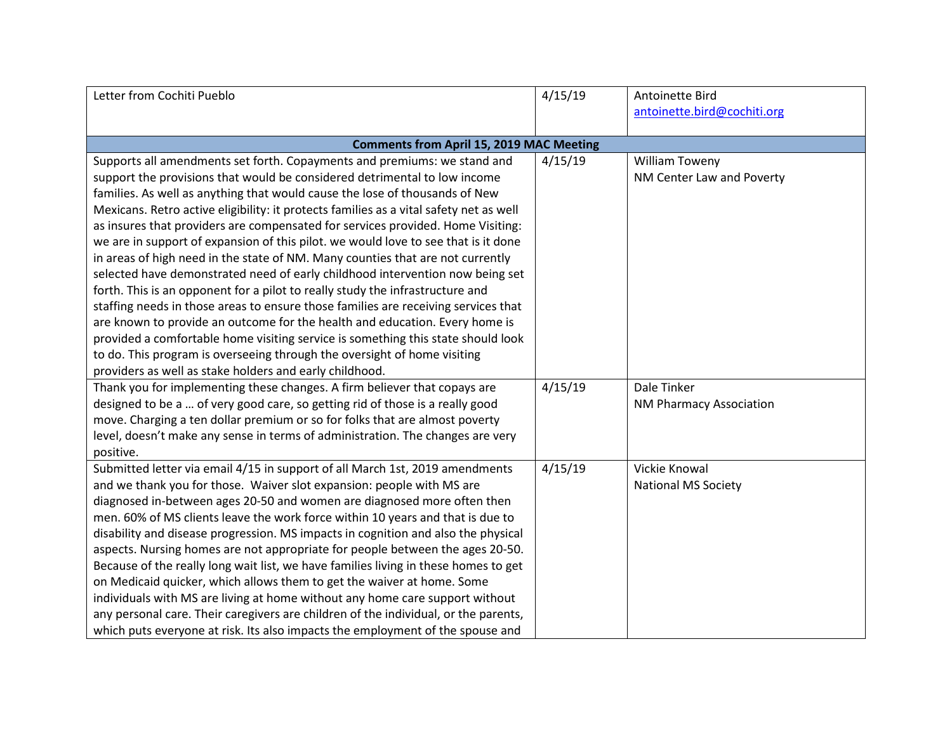| Letter from Cochiti Pueblo                                                             | 4/15/19 | Antoinette Bird                |
|----------------------------------------------------------------------------------------|---------|--------------------------------|
|                                                                                        |         | antoinette.bird@cochiti.org    |
|                                                                                        |         |                                |
| <b>Comments from April 15, 2019 MAC Meeting</b>                                        |         |                                |
| Supports all amendments set forth. Copayments and premiums: we stand and               | 4/15/19 | William Toweny                 |
| support the provisions that would be considered detrimental to low income              |         | NM Center Law and Poverty      |
| families. As well as anything that would cause the lose of thousands of New            |         |                                |
| Mexicans. Retro active eligibility: it protects families as a vital safety net as well |         |                                |
| as insures that providers are compensated for services provided. Home Visiting:        |         |                                |
| we are in support of expansion of this pilot. we would love to see that is it done     |         |                                |
| in areas of high need in the state of NM. Many counties that are not currently         |         |                                |
| selected have demonstrated need of early childhood intervention now being set          |         |                                |
| forth. This is an opponent for a pilot to really study the infrastructure and          |         |                                |
| staffing needs in those areas to ensure those families are receiving services that     |         |                                |
| are known to provide an outcome for the health and education. Every home is            |         |                                |
| provided a comfortable home visiting service is something this state should look       |         |                                |
| to do. This program is overseeing through the oversight of home visiting               |         |                                |
| providers as well as stake holders and early childhood.                                |         |                                |
| Thank you for implementing these changes. A firm believer that copays are              | 4/15/19 | Dale Tinker                    |
| designed to be a  of very good care, so getting rid of those is a really good          |         | <b>NM Pharmacy Association</b> |
| move. Charging a ten dollar premium or so for folks that are almost poverty            |         |                                |
| level, doesn't make any sense in terms of administration. The changes are very         |         |                                |
| positive.                                                                              |         |                                |
| Submitted letter via email 4/15 in support of all March 1st, 2019 amendments           | 4/15/19 | Vickie Knowal                  |
| and we thank you for those. Waiver slot expansion: people with MS are                  |         | <b>National MS Society</b>     |
| diagnosed in-between ages 20-50 and women are diagnosed more often then                |         |                                |
| men. 60% of MS clients leave the work force within 10 years and that is due to         |         |                                |
| disability and disease progression. MS impacts in cognition and also the physical      |         |                                |
| aspects. Nursing homes are not appropriate for people between the ages 20-50.          |         |                                |
| Because of the really long wait list, we have families living in these homes to get    |         |                                |
| on Medicaid quicker, which allows them to get the waiver at home. Some                 |         |                                |
| individuals with MS are living at home without any home care support without           |         |                                |
| any personal care. Their caregivers are children of the individual, or the parents,    |         |                                |
| which puts everyone at risk. Its also impacts the employment of the spouse and         |         |                                |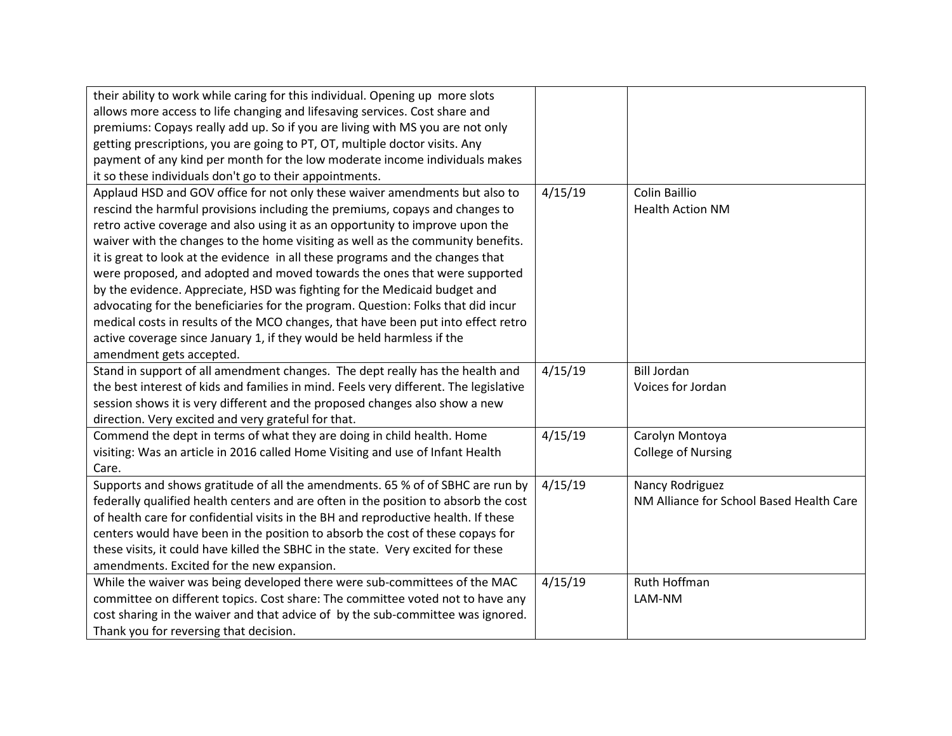| their ability to work while caring for this individual. Opening up more slots         |         |                                          |
|---------------------------------------------------------------------------------------|---------|------------------------------------------|
| allows more access to life changing and lifesaving services. Cost share and           |         |                                          |
| premiums: Copays really add up. So if you are living with MS you are not only         |         |                                          |
| getting prescriptions, you are going to PT, OT, multiple doctor visits. Any           |         |                                          |
| payment of any kind per month for the low moderate income individuals makes           |         |                                          |
| it so these individuals don't go to their appointments.                               |         |                                          |
| Applaud HSD and GOV office for not only these waiver amendments but also to           | 4/15/19 | <b>Colin Baillio</b>                     |
| rescind the harmful provisions including the premiums, copays and changes to          |         | <b>Health Action NM</b>                  |
| retro active coverage and also using it as an opportunity to improve upon the         |         |                                          |
| waiver with the changes to the home visiting as well as the community benefits.       |         |                                          |
| it is great to look at the evidence in all these programs and the changes that        |         |                                          |
| were proposed, and adopted and moved towards the ones that were supported             |         |                                          |
| by the evidence. Appreciate, HSD was fighting for the Medicaid budget and             |         |                                          |
| advocating for the beneficiaries for the program. Question: Folks that did incur      |         |                                          |
| medical costs in results of the MCO changes, that have been put into effect retro     |         |                                          |
| active coverage since January 1, if they would be held harmless if the                |         |                                          |
| amendment gets accepted.                                                              |         |                                          |
| Stand in support of all amendment changes. The dept really has the health and         | 4/15/19 | <b>Bill Jordan</b>                       |
| the best interest of kids and families in mind. Feels very different. The legislative |         | Voices for Jordan                        |
| session shows it is very different and the proposed changes also show a new           |         |                                          |
| direction. Very excited and very grateful for that.                                   |         |                                          |
| Commend the dept in terms of what they are doing in child health. Home                | 4/15/19 | Carolyn Montoya                          |
| visiting: Was an article in 2016 called Home Visiting and use of Infant Health        |         | <b>College of Nursing</b>                |
| Care.                                                                                 |         |                                          |
| Supports and shows gratitude of all the amendments. 65 % of of SBHC are run by        | 4/15/19 | Nancy Rodriguez                          |
| federally qualified health centers and are often in the position to absorb the cost   |         | NM Alliance for School Based Health Care |
| of health care for confidential visits in the BH and reproductive health. If these    |         |                                          |
| centers would have been in the position to absorb the cost of these copays for        |         |                                          |
| these visits, it could have killed the SBHC in the state. Very excited for these      |         |                                          |
| amendments. Excited for the new expansion.                                            |         |                                          |
| While the waiver was being developed there were sub-committees of the MAC             | 4/15/19 | Ruth Hoffman                             |
| committee on different topics. Cost share: The committee voted not to have any        |         | LAM-NM                                   |
| cost sharing in the waiver and that advice of by the sub-committee was ignored.       |         |                                          |
| Thank you for reversing that decision.                                                |         |                                          |